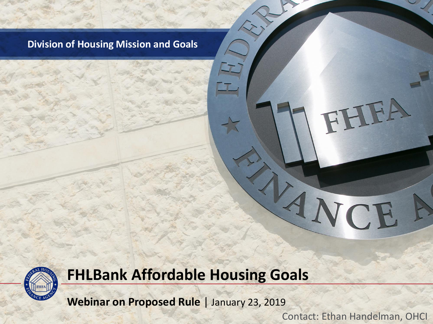#### **Division of Housing Mission and Goals**

#### **FHLBank Affordable Housing Goals**

**Webinar on Proposed Rule** | January 23, 2019

Contact: Ethan Handelman, OHCI

ANCE

FHEA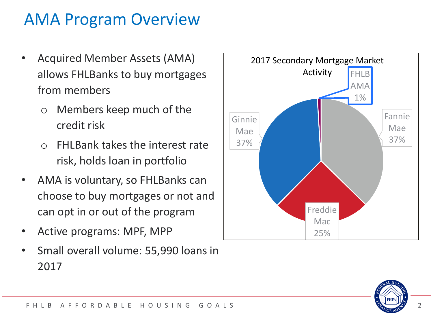### AMA Program Overview

- Acquired Member Assets (AMA) allows FHLBanks to buy mortgages from members
	- o Members keep much of the credit risk
	- $\circ$  FHI Bank takes the interest rate risk, holds loan in portfolio
- AMA is voluntary, so FHLBanks can choose to buy mortgages or not and can opt in or out of the program
- Active programs: MPF, MPP
- Small overall volume: 55,990 loans in 2017



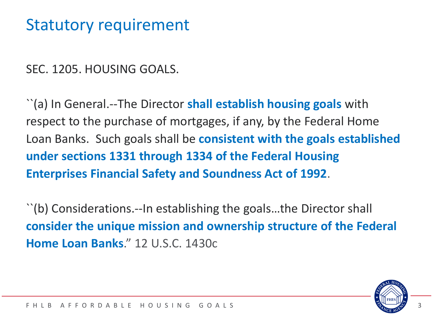#### Statutory requirement

SEC. 1205. HOUSING GOALS.

``(a) In General.--The Director **shall establish housing goals** with respect to the purchase of mortgages, if any, by the Federal Home Loan Banks. Such goals shall be **consistent with the goals established under sections 1331 through 1334 of the Federal Housing Enterprises Financial Safety and Soundness Act of 1992**.

``(b) Considerations.--In establishing the goals…the Director shall **consider the unique mission and ownership structure of the Federal Home Loan Banks**." 12 U.S.C. 1430c

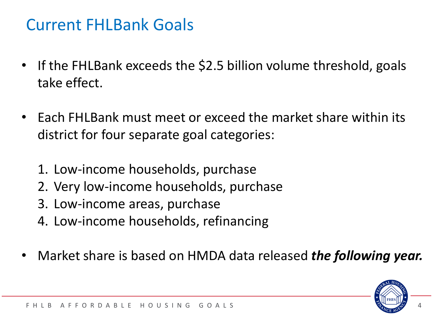#### Current FHLBank Goals

- If the FHLBank exceeds the \$2.5 billion volume threshold, goals take effect.
- Each FHLBank must meet or exceed the market share within its district for four separate goal categories:
	- 1. Low-income households, purchase
	- 2. Very low-income households, purchase
	- 3. Low-income areas, purchase
	- 4. Low-income households, refinancing
- Market share is based on HMDA data released *the following year.*

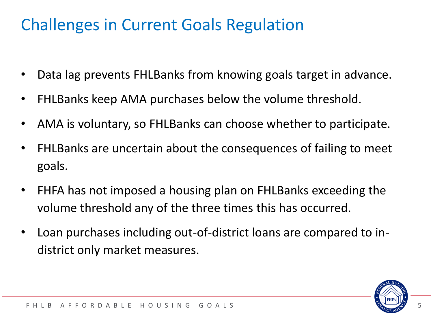### **Challenges in Current Goals Regulation**

- Data lag prevents FHLBanks from knowing goals target in advance.
- FHLBanks keep AMA purchases below the volume threshold.
- AMA is voluntary, so FHLBanks can choose whether to participate.
- FHLBanks are uncertain about the consequences of failing to meet goals.
- FHFA has not imposed a housing plan on FHLBanks exceeding the volume threshold any of the three times this has occurred.
- Loan purchases including out-of-district loans are compared to indistrict only market measures.

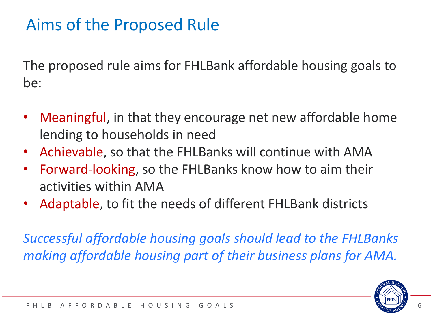### Aims of the Proposed Rule

The proposed rule aims for FHLBank affordable housing goals to be:

- Meaningful, in that they encourage net new affordable home lending to households in need
- Achievable, so that the FHLBanks will continue with AMA
- Forward-looking, so the FHLBanks know how to aim their activities within AMA
- Adaptable, to fit the needs of different FHLBank districts

*Successful affordable housing goals should lead to the FHLBanks making affordable housing part of their business plans for AMA.*

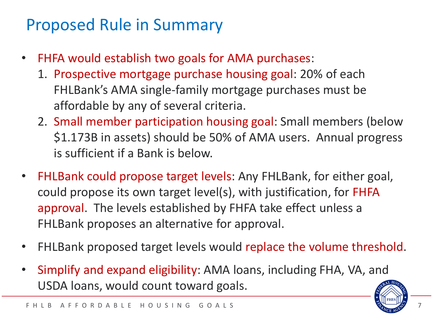#### Proposed Rule in Summary

- FHFA would establish two goals for AMA purchases:
	- 1. Prospective mortgage purchase housing goal: 20% of each FHLBank's AMA single-family mortgage purchases must be affordable by any of several criteria.
	- 2. Small member participation housing goal: Small members (below \$1.173B in assets) should be 50% of AMA users. Annual progress is sufficient if a Bank is below.
- FHLBank could propose target levels: Any FHLBank, for either goal, could propose its own target level(s), with justification, for FHFA approval. The levels established by FHFA take effect unless a FHLBank proposes an alternative for approval.
- FHLBank proposed target levels would replace the volume threshold.
- Simplify and expand eligibility: AMA loans, including FHA, VA, and USDA loans, would count toward goals.

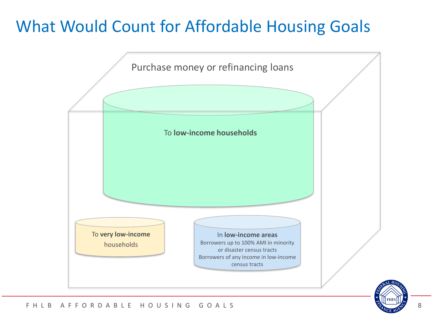### What Would Count for Affordable Housing Goals



#### F H L B A F F O R D A B L E H O U S I N G G O A L S A RESOLUTION AND THE RELATIONS A RELATION OF RELATIONS AND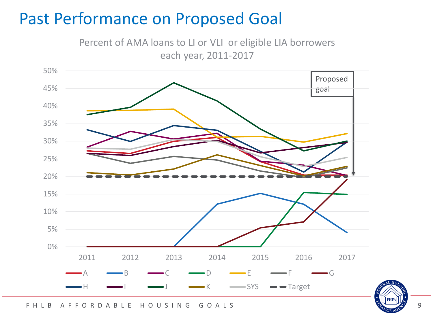#### Past Performance on Proposed Goal

Percent of AMA loans to LI or VLI or eligible LIA borrowers each year, 2011-2017





F H L B A F F O R D A B L E H O U S I N G G O A L S A L S A L B A F F O R D A B L E H O U S I N G G O A L S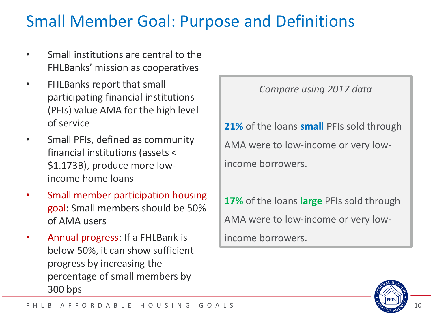### Small Member Goal: Purpose and Definitions

- Small institutions are central to the FHLBanks' mission as cooperatives
- FHLBanks report that small participating financial institutions (PFIs) value AMA for the high level of service
- Small PFIs, defined as community financial institutions (assets < \$1.173B), produce more lowincome home loans
- Small member participation housing goal: Small members should be 50% of AMA users
- Annual progress: If a FHLBank is below 50%, it can show sufficient progress by increasing the percentage of small members by 300 bps

*Compare using 2017 data*

**21%** of the loans **small** PFIs sold through AMA were to low-income or very lowincome borrowers.

**17%** of the loans **large** PFIs sold through AMA were to low-income or very low-

income borrowers.

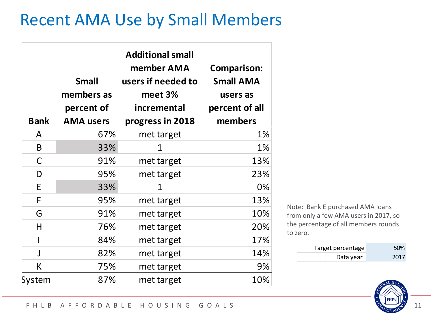### Recent AMA Use by Small Members

| <b>Bank</b>  | <b>Small</b><br>members as<br>percent of<br><b>AMA users</b> | <b>Additional small</b><br>member AMA<br>users if needed to<br>meet 3%<br>incremental<br>progress in 2018 | <b>Comparison:</b><br><b>Small AMA</b><br>users as<br>percent of all<br>members |
|--------------|--------------------------------------------------------------|-----------------------------------------------------------------------------------------------------------|---------------------------------------------------------------------------------|
| A            | 67%                                                          | met target                                                                                                | 1%                                                                              |
| B            | 33%                                                          | 1                                                                                                         | 1%                                                                              |
| C            | 91%                                                          | met target                                                                                                | 13%                                                                             |
| D            | 95%                                                          | met target                                                                                                | 23%                                                                             |
| E            | 33%                                                          | 1                                                                                                         | 0%                                                                              |
| F            | 95%                                                          | met target                                                                                                | 13%                                                                             |
| G            | 91%                                                          | met target                                                                                                | 10%                                                                             |
| H            | 76%                                                          | met target                                                                                                | 20%                                                                             |
|              | 84%                                                          | met target                                                                                                | 17%                                                                             |
| $\mathbf{I}$ | 82%                                                          | met target                                                                                                | 14%                                                                             |
| K            | 75%                                                          | met target                                                                                                | 9%                                                                              |
| System       | 87%                                                          | met target                                                                                                | 10%                                                                             |

Note: Bank E purchased AMA loans from only a few AMA users in 2017, so the percentage of all members rounds to zero.

| Target percentage | 50%  |
|-------------------|------|
| Data year         | 2017 |

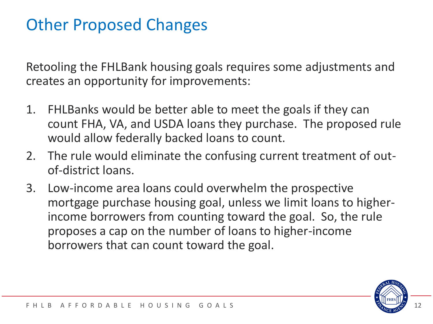### Other Proposed Changes

Retooling the FHLBank housing goals requires some adjustments and creates an opportunity for improvements:

- 1. FHLBanks would be better able to meet the goals if they can count FHA, VA, and USDA loans they purchase. The proposed rule would allow federally backed loans to count.
- 2. The rule would eliminate the confusing current treatment of outof-district loans.
- 3. Low-income area loans could overwhelm the prospective mortgage purchase housing goal, unless we limit loans to higherincome borrowers from counting toward the goal. So, the rule proposes a cap on the number of loans to higher-income borrowers that can count toward the goal.

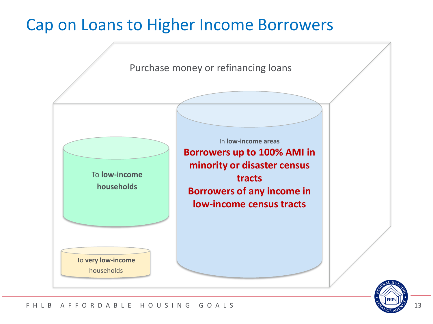#### Cap on Loans to Higher Income Borrowers





#### F H L B A F F O R D A B L E H O U S I N G G O A L S 13 13 13 13 13 13 13 14 15 16 17 18 18 19 11 13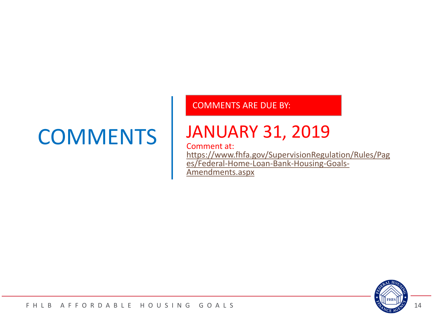## **COMMENTS**

#### COMMENTS ARE DUE BY:

### JANUARY 31, 2019

#### Comment at:

[https://www.fhfa.gov/SupervisionRegulation/Rules/Pag](https://www.fhfa.gov/SupervisionRegulation/Rules/Pages/Federal-Home-Loan-Bank-Housing-Goals-Amendments.aspx) es/Federal-Home-Loan-Bank-Housing-Goals-Amendments.aspx

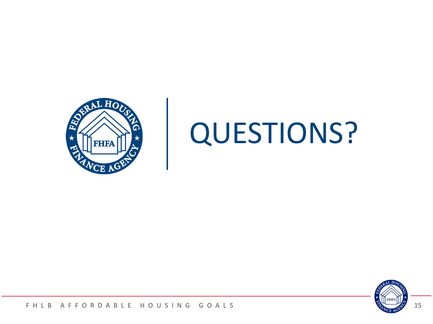

# QUESTIONS?



#### F H L B A F F O R D A B L E H O U S I N G G O A L S 2004 L S 2004 L S 2004 L S 2004 L S 2004 L S 200